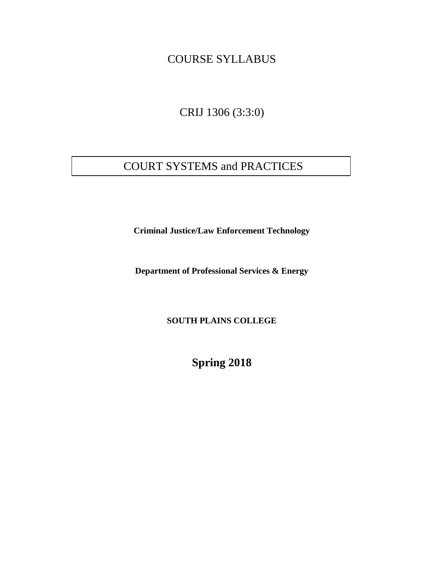## COURSE SYLLABUS

CRIJ 1306 (3:3:0)

# COURT SYSTEMS and PRACTICES

**Criminal Justice/Law Enforcement Technology**

**Department of Professional Services & Energy**

**SOUTH PLAINS COLLEGE**

**Spring 2018**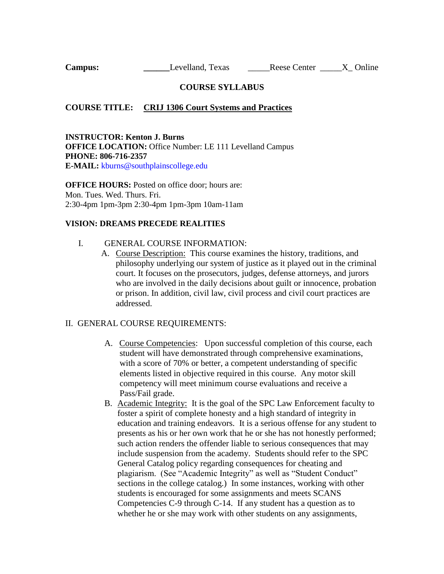**Campus: \_\_\_\_\_\_**Levelland, Texas \_\_\_\_\_\_Reese Center \_\_\_\_\_X\_ Online

## **COURSE SYLLABUS**

### **COURSE TITLE: CRIJ 1306 Court Systems and Practices**

**INSTRUCTOR: Kenton J. Burns OFFICE LOCATION: Office Number: LE 111 Levelland Campus PHONE: 806-716-2357 E-MAIL:** kburns@southplainscollege.edu

**OFFICE HOURS:** Posted on office door; hours are: Mon. Tues. Wed. Thurs. Fri. 2:30-4pm 1pm-3pm 2:30-4pm 1pm-3pm 10am-11am

#### **VISION: DREAMS PRECEDE REALITIES**

#### I. GENERAL COURSE INFORMATION:

A. Course Description: This course examines the history, traditions, and philosophy underlying our system of justice as it played out in the criminal court. It focuses on the prosecutors, judges, defense attorneys, and jurors who are involved in the daily decisions about guilt or innocence, probation or prison. In addition, civil law, civil process and civil court practices are addressed.

### II. GENERAL COURSE REQUIREMENTS:

- A. Course Competencies: Upon successful completion of this course, each student will have demonstrated through comprehensive examinations, with a score of 70% or better, a competent understanding of specific elements listed in objective required in this course. Any motor skill competency will meet minimum course evaluations and receive a Pass/Fail grade.
- B. Academic Integrity: It is the goal of the SPC Law Enforcement faculty to foster a spirit of complete honesty and a high standard of integrity in education and training endeavors. It is a serious offense for any student to presents as his or her own work that he or she has not honestly performed; such action renders the offender liable to serious consequences that may include suspension from the academy. Students should refer to the SPC General Catalog policy regarding consequences for cheating and plagiarism. (See "Academic Integrity" as well as "Student Conduct" sections in the college catalog.) In some instances, working with other students is encouraged for some assignments and meets SCANS Competencies C-9 through C-14. If any student has a question as to whether he or she may work with other students on any assignments,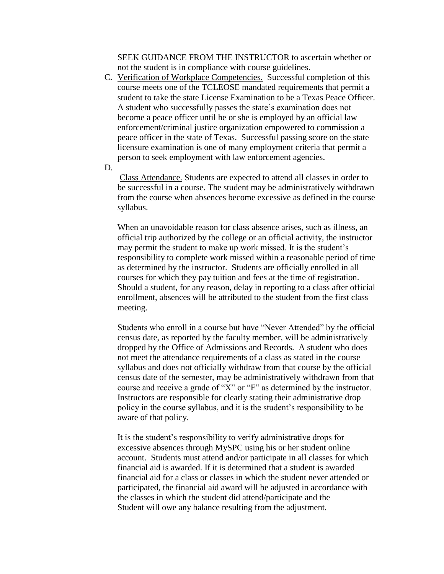SEEK GUIDANCE FROM THE INSTRUCTOR to ascertain whether or not the student is in compliance with course guidelines.

C. Verification of Workplace Competencies. Successful completion of this course meets one of the TCLEOSE mandated requirements that permit a student to take the state License Examination to be a Texas Peace Officer. A student who successfully passes the state's examination does not become a peace officer until he or she is employed by an official law enforcement/criminal justice organization empowered to commission a peace officer in the state of Texas. Successful passing score on the state licensure examination is one of many employment criteria that permit a person to seek employment with law enforcement agencies.

D.

Class Attendance. Students are expected to attend all classes in order to be successful in a course. The student may be administratively withdrawn from the course when absences become excessive as defined in the course syllabus.

When an unavoidable reason for class absence arises, such as illness, an official trip authorized by the college or an official activity, the instructor may permit the student to make up work missed. It is the student's responsibility to complete work missed within a reasonable period of time as determined by the instructor. Students are officially enrolled in all courses for which they pay tuition and fees at the time of registration. Should a student, for any reason, delay in reporting to a class after official enrollment, absences will be attributed to the student from the first class meeting.

Students who enroll in a course but have "Never Attended" by the official census date, as reported by the faculty member, will be administratively dropped by the Office of Admissions and Records. A student who does not meet the attendance requirements of a class as stated in the course syllabus and does not officially withdraw from that course by the official census date of the semester, may be administratively withdrawn from that course and receive a grade of "X" or "F" as determined by the instructor. Instructors are responsible for clearly stating their administrative drop policy in the course syllabus, and it is the student's responsibility to be aware of that policy.

It is the student's responsibility to verify administrative drops for excessive absences through MySPC using his or her student online account. Students must attend and/or participate in all classes for which financial aid is awarded. If it is determined that a student is awarded financial aid for a class or classes in which the student never attended or participated, the financial aid award will be adjusted in accordance with the classes in which the student did attend/participate and the Student will owe any balance resulting from the adjustment.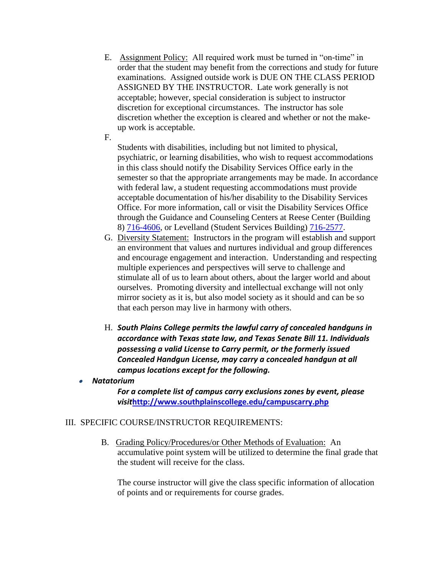- E. Assignment Policy: All required work must be turned in "on-time" in order that the student may benefit from the corrections and study for future examinations. Assigned outside work is DUE ON THE CLASS PERIOD ASSIGNED BY THE INSTRUCTOR. Late work generally is not acceptable; however, special consideration is subject to instructor discretion for exceptional circumstances. The instructor has sole discretion whether the exception is cleared and whether or not the makeup work is acceptable.
- F.

Students with disabilities, including but not limited to physical, psychiatric, or learning disabilities, who wish to request accommodations in this class should notify the Disability Services Office early in the semester so that the appropriate arrangements may be made. In accordance with federal law, a student requesting accommodations must provide acceptable documentation of his/her disability to the Disability Services Office. For more information, call or visit the Disability Services Office through the Guidance and Counseling Centers at Reese Center (Building 8) [716-4606,](tel:716-4606) or Levelland (Student Services Building) [716-2577.](tel:716-2577)

- G. Diversity Statement: Instructors in the program will establish and support an environment that values and nurtures individual and group differences and encourage engagement and interaction. Understanding and respecting multiple experiences and perspectives will serve to challenge and stimulate all of us to learn about others, about the larger world and about ourselves. Promoting diversity and intellectual exchange will not only mirror society as it is, but also model society as it should and can be so that each person may live in harmony with others.
- H. *South Plains College permits the lawful carry of concealed handguns in accordance with Texas state law, and Texas Senate Bill 11. Individuals possessing a valid License to Carry permit, or the formerly issued Concealed Handgun License, may carry a concealed handgun at all campus locations except for the following.*
- • *Natatorium*

*For a complete list of campus carry exclusions zones by event, please visit***<http://www.southplainscollege.edu/campuscarry.php>**

## III. SPECIFIC COURSE/INSTRUCTOR REQUIREMENTS:

B. Grading Policy/Procedures/or Other Methods of Evaluation: An accumulative point system will be utilized to determine the final grade that the student will receive for the class.

The course instructor will give the class specific information of allocation of points and or requirements for course grades.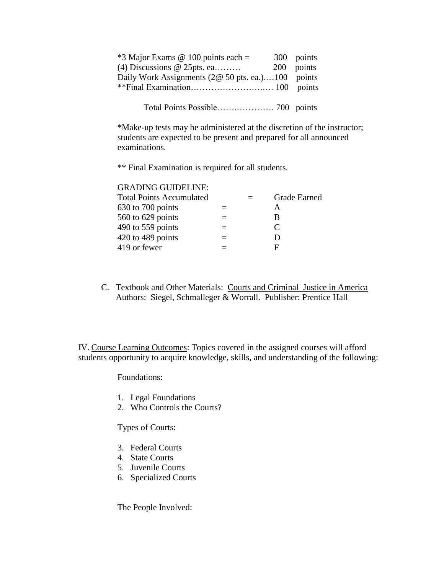| $*3$ Major Exams @ 100 points each =              | 300 points |
|---------------------------------------------------|------------|
| (4) Discussions $@$ 25pts. ea                     | 200 points |
| Daily Work Assignments (2@ 50 pts. ea.)100 points |            |
|                                                   |            |
|                                                   |            |

Total Points Possible…….…………. 700 points

\*Make-up tests may be administered at the discretion of the instructor; students are expected to be present and prepared for all announced examinations.

\*\* Final Examination is required for all students.

#### GRADING GUIDELINE:

|  | Grade Earned                |
|--|-----------------------------|
|  | А                           |
|  | В                           |
|  | $\mathcal{C}_{\mathcal{C}}$ |
|  | ו ו                         |
|  | F                           |
|  |                             |

C. Textbook and Other Materials: Courts and Criminal Justice in America Authors: Siegel, Schmalleger & Worrall. Publisher: Prentice Hall

IV. Course Learning Outcomes: Topics covered in the assigned courses will afford students opportunity to acquire knowledge, skills, and understanding of the following:

Foundations:

- 1. Legal Foundations
- 2. Who Controls the Courts?

Types of Courts:

- 3. Federal Courts
- 4. State Courts
- 5. Juvenile Courts
- 6. Specialized Courts

The People Involved: